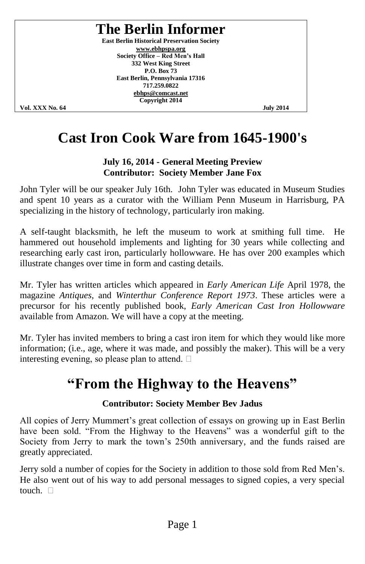### **The Berlin Informer**

**East Berlin Historical Preservation Society [www.ebhpspa.org](http://www.ebhpspa.org/) Society Office – Red Men's Hall 332 West King Street P.O. Box 73 East Berlin, Pennsylvania 17316 717.259.0822 [ebhps@comcast.net](mailto:ebhps@comcast.net) Copyright 2014**

**Vol. XXX No. 64 July 2014**

## **Cast Iron Cook Ware from 1645-1900's**

#### **July 16, 2014 - General Meeting Preview Contributor: Society Member Jane Fox**

John Tyler will be our speaker July 16th. John Tyler was educated in Museum Studies and spent 10 years as a curator with the William Penn Museum in Harrisburg, PA specializing in the history of technology, particularly iron making.

A self-taught blacksmith, he left the museum to work at smithing full time. He hammered out household implements and lighting for 30 years while collecting and researching early cast iron, particularly hollowware. He has over 200 examples which illustrate changes over time in form and casting details.

Mr. Tyler has written articles which appeared in *Early American Life* April 1978, the magazine *Antiques*, and *Winterthur Conference Report 1973*. These articles were a precursor for his recently published book, *Early American Cast Iron Hollowware* available from Amazon. We will have a copy at the meeting.

Mr. Tyler has invited members to bring a cast iron item for which they would like more information; (i.e., age, where it was made, and possibly the maker). This will be a very interesting evening, so please plan to attend.  $\square$ 

### **"From the Highway to the Heavens"**

### **Contributor: Society Member Bev Jadus**

All copies of Jerry Mummert's great collection of essays on growing up in East Berlin have been sold. "From the Highway to the Heavens" was a wonderful gift to the Society from Jerry to mark the town's 250th anniversary, and the funds raised are greatly appreciated.

Jerry sold a number of copies for the Society in addition to those sold from Red Men's. He also went out of his way to add personal messages to signed copies, a very special touch.  $\square$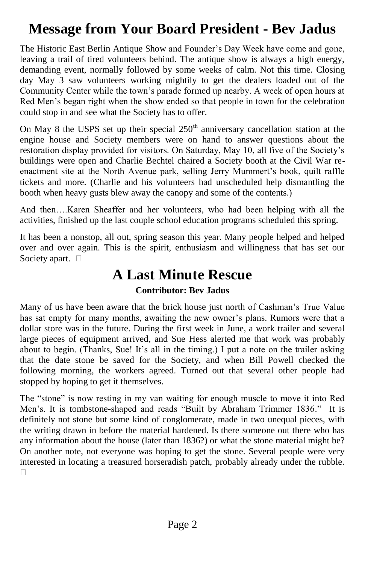## **Message from Your Board President - Bev Jadus**

The Historic East Berlin Antique Show and Founder's Day Week have come and gone, leaving a trail of tired volunteers behind. The antique show is always a high energy, demanding event, normally followed by some weeks of calm. Not this time. Closing day May 3 saw volunteers working mightily to get the dealers loaded out of the Community Center while the town's parade formed up nearby. A week of open hours at Red Men's began right when the show ended so that people in town for the celebration could stop in and see what the Society has to offer.

On May 8 the USPS set up their special  $250<sup>th</sup>$  anniversary cancellation station at the engine house and Society members were on hand to answer questions about the restoration display provided for visitors. On Saturday, May 10, all five of the Society's buildings were open and Charlie Bechtel chaired a Society booth at the Civil War reenactment site at the North Avenue park, selling Jerry Mummert's book, quilt raffle tickets and more. (Charlie and his volunteers had unscheduled help dismantling the booth when heavy gusts blew away the canopy and some of the contents.)

And then….Karen Sheaffer and her volunteers, who had been helping with all the activities, finished up the last couple school education programs scheduled this spring.

It has been a nonstop, all out, spring season this year. Many people helped and helped over and over again. This is the spirit, enthusiasm and willingness that has set our Society apart.  $\square$ 

### **A Last Minute Rescue**

### **Contributor: Bev Jadus**

Many of us have been aware that the brick house just north of Cashman's True Value has sat empty for many months, awaiting the new owner's plans. Rumors were that a dollar store was in the future. During the first week in June, a work trailer and several large pieces of equipment arrived, and Sue Hess alerted me that work was probably about to begin. (Thanks, Sue! It's all in the timing.) I put a note on the trailer asking that the date stone be saved for the Society, and when Bill Powell checked the following morning, the workers agreed. Turned out that several other people had stopped by hoping to get it themselves.

The "stone" is now resting in my van waiting for enough muscle to move it into Red Men's. It is tombstone-shaped and reads "Built by Abraham Trimmer 1836." It is definitely not stone but some kind of conglomerate, made in two unequal pieces, with the writing drawn in before the material hardened. Is there someone out there who has any information about the house (later than 1836?) or what the stone material might be? On another note, not everyone was hoping to get the stone. Several people were very interested in locating a treasured horseradish patch, probably already under the rubble. П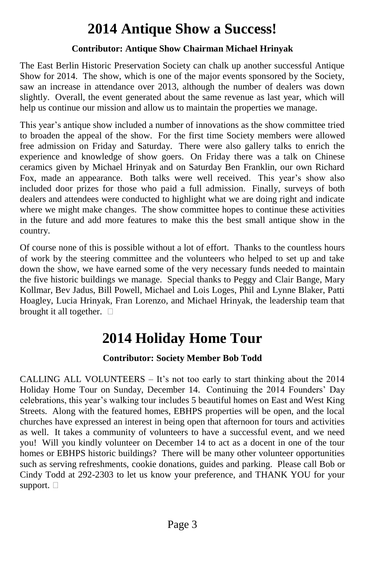## **2014 Antique Show a Success!**

#### **Contributor: Antique Show Chairman Michael Hrinyak**

The East Berlin Historic Preservation Society can chalk up another successful Antique Show for 2014. The show, which is one of the major events sponsored by the Society, saw an increase in attendance over 2013, although the number of dealers was down slightly. Overall, the event generated about the same revenue as last year, which will help us continue our mission and allow us to maintain the properties we manage.

This year's antique show included a number of innovations as the show committee tried to broaden the appeal of the show. For the first time Society members were allowed free admission on Friday and Saturday. There were also gallery talks to enrich the experience and knowledge of show goers. On Friday there was a talk on Chinese ceramics given by Michael Hrinyak and on Saturday Ben Franklin, our own Richard Fox, made an appearance. Both talks were well received. This year's show also included door prizes for those who paid a full admission. Finally, surveys of both dealers and attendees were conducted to highlight what we are doing right and indicate where we might make changes. The show committee hopes to continue these activities in the future and add more features to make this the best small antique show in the country.

Of course none of this is possible without a lot of effort. Thanks to the countless hours of work by the steering committee and the volunteers who helped to set up and take down the show, we have earned some of the very necessary funds needed to maintain the five historic buildings we manage. Special thanks to Peggy and Clair Bange, Mary Kollmar, Bev Jadus, Bill Powell, Michael and Lois Loges, Phil and Lynne Blaker, Patti Hoagley, Lucia Hrinyak, Fran Lorenzo, and Michael Hrinyak, the leadership team that brought it all together.  $\square$ 

### **2014 Holiday Home Tour**

### **Contributor: Society Member Bob Todd**

CALLING ALL VOLUNTEERS  $-$  It's not too early to start thinking about the 2014 Holiday Home Tour on Sunday, December 14. Continuing the 2014 Founders' Day celebrations, this year's walking tour includes 5 beautiful homes on East and West King Streets. Along with the featured homes, EBHPS properties will be open, and the local churches have expressed an interest in being open that afternoon for tours and activities as well. It takes a community of volunteers to have a successful event, and we need you! Will you kindly volunteer on December 14 to act as a docent in one of the tour homes or EBHPS historic buildings? There will be many other volunteer opportunities such as serving refreshments, cookie donations, guides and parking. Please call Bob or Cindy Todd at 292-2303 to let us know your preference, and THANK YOU for your support.  $\square$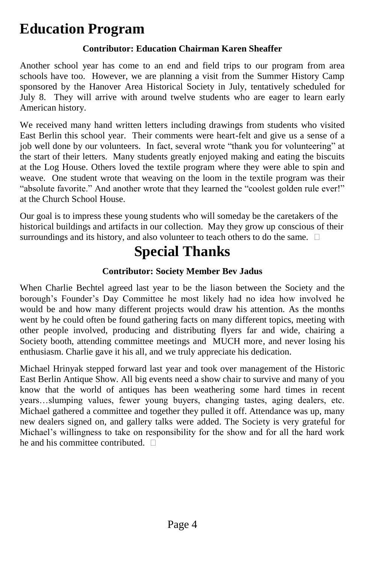### **Education Program**

### **Contributor: Education Chairman Karen Sheaffer**

Another school year has come to an end and field trips to our program from area schools have too. However, we are planning a visit from the Summer History Camp sponsored by the Hanover Area Historical Society in July, tentatively scheduled for July 8. They will arrive with around twelve students who are eager to learn early American history.

We received many hand written letters including drawings from students who visited East Berlin this school year. Their comments were heart-felt and give us a sense of a job well done by our volunteers. In fact, several wrote "thank you for volunteering" at the start of their letters. Many students greatly enjoyed making and eating the biscuits at the Log House. Others loved the textile program where they were able to spin and weave. One student wrote that weaving on the loom in the textile program was their "absolute favorite." And another wrote that they learned the "coolest golden rule ever!" at the Church School House.

Our goal is to impress these young students who will someday be the caretakers of the historical buildings and artifacts in our collection. May they grow up conscious of their surroundings and its history, and also volunteer to teach others to do the same.  $\Box$ 

## **Special Thanks**

### **Contributor: Society Member Bev Jadus**

When Charlie Bechtel agreed last year to be the liason between the Society and the borough's Founder's Day Committee he most likely had no idea how involved he would be and how many different projects would draw his attention. As the months went by he could often be found gathering facts on many different topics, meeting with other people involved, producing and distributing flyers far and wide, chairing a Society booth, attending committee meetings and MUCH more, and never losing his enthusiasm. Charlie gave it his all, and we truly appreciate his dedication.

Michael Hrinyak stepped forward last year and took over management of the Historic East Berlin Antique Show. All big events need a show chair to survive and many of you know that the world of antiques has been weathering some hard times in recent years…slumping values, fewer young buyers, changing tastes, aging dealers, etc. Michael gathered a committee and together they pulled it off. Attendance was up, many new dealers signed on, and gallery talks were added. The Society is very grateful for Michael's willingness to take on responsibility for the show and for all the hard work he and his committee contributed.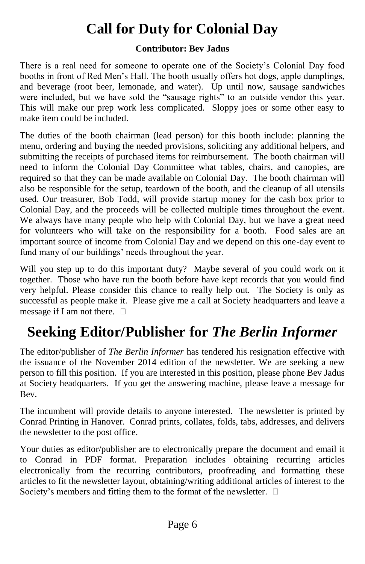## **Call for Duty for Colonial Day**

#### **Contributor: Bev Jadus**

There is a real need for someone to operate one of the Society's Colonial Day food booths in front of Red Men's Hall. The booth usually offers hot dogs, apple dumplings, and beverage (root beer, lemonade, and water). Up until now, sausage sandwiches were included, but we have sold the "sausage rights" to an outside vendor this year. This will make our prep work less complicated. Sloppy joes or some other easy to make item could be included.

The duties of the booth chairman (lead person) for this booth include: planning the menu, ordering and buying the needed provisions, soliciting any additional helpers, and submitting the receipts of purchased items for reimbursement. The booth chairman will need to inform the Colonial Day Committee what tables, chairs, and canopies, are required so that they can be made available on Colonial Day. The booth chairman will also be responsible for the setup, teardown of the booth, and the cleanup of all utensils used. Our treasurer, Bob Todd, will provide startup money for the cash box prior to Colonial Day, and the proceeds will be collected multiple times throughout the event. We always have many people who help with Colonial Day, but we have a great need for volunteers who will take on the responsibility for a booth. Food sales are an important source of income from Colonial Day and we depend on this one-day event to fund many of our buildings' needs throughout the year.

Will you step up to do this important duty? Maybe several of you could work on it together. Those who have run the booth before have kept records that you would find very helpful. Please consider this chance to really help out. The Society is only as successful as people make it. Please give me a call at Society headquarters and leave a message if I am not there.  $\square$ 

## **Seeking Editor/Publisher for** *The Berlin Informer*

The editor/publisher of *The Berlin Informer* has tendered his resignation effective with the issuance of the November 2014 edition of the newsletter. We are seeking a new person to fill this position. If you are interested in this position, please phone Bev Jadus at Society headquarters. If you get the answering machine, please leave a message for Bev.

The incumbent will provide details to anyone interested. The newsletter is printed by Conrad Printing in Hanover. Conrad prints, collates, folds, tabs, addresses, and delivers the newsletter to the post office.

Your duties as editor/publisher are to electronically prepare the document and email it to Conrad in PDF format. Preparation includes obtaining recurring articles electronically from the recurring contributors, proofreading and formatting these articles to fit the newsletter layout, obtaining/writing additional articles of interest to the Society's members and fitting them to the format of the newsletter.  $\Box$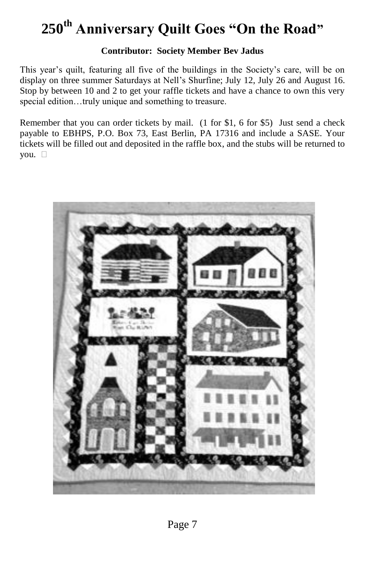# **250th Anniversary Quilt Goes "On the Road"**

#### **Contributor: Society Member Bev Jadus**

This year's quilt, featuring all five of the buildings in the Society's care, will be on display on three summer Saturdays at Nell's Shurfine; July 12, July 26 and August 16. Stop by between 10 and 2 to get your raffle tickets and have a chance to own this very special edition…truly unique and something to treasure.

Remember that you can order tickets by mail. (1 for \$1, 6 for \$5) Just send a check payable to EBHPS, P.O. Box 73, East Berlin, PA 17316 and include a SASE. Your tickets will be filled out and deposited in the raffle box, and the stubs will be returned to you.

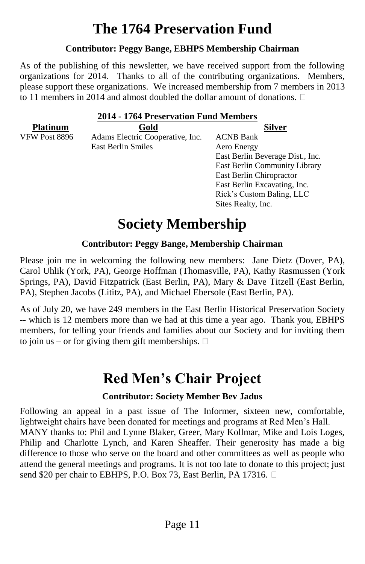## **The 1764 Preservation Fund**

#### **Contributor: Peggy Bange, EBHPS Membership Chairman**

As of the publishing of this newsletter, we have received support from the following organizations for 2014. Thanks to all of the contributing organizations. Members, please support these organizations. We increased membership from 7 members in 2013 to 11 members in 2014 and almost doubled the dollar amount of donations.

| 2014 - 1764 Preservation Fund Members |                                  |                                  |
|---------------------------------------|----------------------------------|----------------------------------|
| <b>Platinum</b>                       | Gold                             | Silver                           |
| <b>VFW Post 8896</b>                  | Adams Electric Cooperative, Inc. | <b>ACNB Bank</b>                 |
|                                       | East Berlin Smiles               | Aero Energy                      |
|                                       |                                  | East Berlin Beverage Dist., Inc. |
|                                       |                                  | East Berlin Community Library    |
|                                       |                                  | East Berlin Chiropractor         |
|                                       |                                  | East Berlin Excavating, Inc.     |
|                                       |                                  | Rick's Custom Baling, LLC        |
|                                       |                                  | Sites Realty, Inc.               |

## **Society Membership**

#### **Contributor: Peggy Bange, Membership Chairman**

Please join me in welcoming the following new members: Jane Dietz (Dover, PA), Carol Uhlik (York, PA), George Hoffman (Thomasville, PA), Kathy Rasmussen (York Springs, PA), David Fitzpatrick (East Berlin, PA), Mary & Dave Titzell (East Berlin, PA), Stephen Jacobs (Lititz, PA), and Michael Ebersole (East Berlin, PA).

As of July 20, we have 249 members in the East Berlin Historical Preservation Society -- which is 12 members more than we had at this time a year ago. Thank you, EBHPS members, for telling your friends and families about our Society and for inviting them to join us – or for giving them gift memberships.  $\Box$ 

### **Red Men's Chair Project**

#### **Contributor: Society Member Bev Jadus**

Following an appeal in a past issue of The Informer, sixteen new, comfortable, lightweight chairs have been donated for meetings and programs at Red Men's Hall. MANY thanks to: Phil and Lynne Blaker, Greer, Mary Kollmar, Mike and Lois Loges, Philip and Charlotte Lynch, and Karen Sheaffer. Their generosity has made a big difference to those who serve on the board and other committees as well as people who attend the general meetings and programs. It is not too late to donate to this project; just send \$20 per chair to EBHPS, P.O. Box 73, East Berlin, PA 17316.  $\Box$